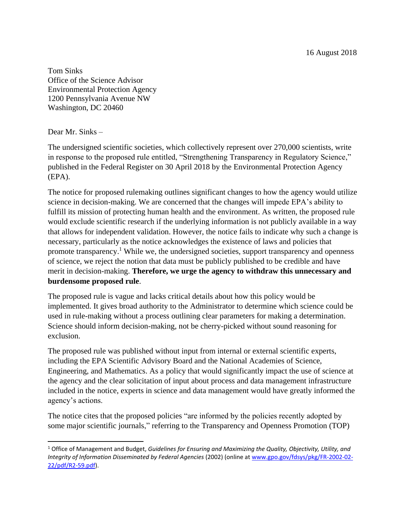16 August 2018

Tom Sinks Office of the Science Advisor Environmental Protection Agency 1200 Pennsylvania Avenue NW Washington, DC 20460

Dear Mr. Sinks –

 $\overline{a}$ 

The undersigned scientific societies, which collectively represent over 270,000 scientists, write in response to the proposed rule entitled, "Strengthening Transparency in Regulatory Science," published in the Federal Register on 30 April 2018 by the Environmental Protection Agency (EPA).

The notice for proposed rulemaking outlines significant changes to how the agency would utilize science in decision-making. We are concerned that the changes will impede EPA's ability to fulfill its mission of protecting human health and the environment. As written, the proposed rule would exclude scientific research if the underlying information is not publicly available in a way that allows for independent validation. However, the notice fails to indicate why such a change is necessary, particularly as the notice acknowledges the existence of laws and policies that promote transparency.<sup>1</sup> While we, the undersigned societies, support transparency and openness of science, we reject the notion that data must be publicly published to be credible and have merit in decision-making. **Therefore, we urge the agency to withdraw this unnecessary and burdensome proposed rule**.

The proposed rule is vague and lacks critical details about how this policy would be implemented. It gives broad authority to the Administrator to determine which science could be used in rule-making without a process outlining clear parameters for making a determination. Science should inform decision-making, not be cherry-picked without sound reasoning for exclusion.

The proposed rule was published without input from internal or external scientific experts, including the EPA Scientific Advisory Board and the National Academies of Science, Engineering, and Mathematics. As a policy that would significantly impact the use of science at the agency and the clear solicitation of input about process and data management infrastructure included in the notice, experts in science and data management would have greatly informed the agency's actions.

The notice cites that the proposed policies "are informed by the policies recently adopted by some major scientific journals," referring to the Transparency and Openness Promotion (TOP)

<sup>1</sup> Office of Management and Budget, *Guidelines for Ensuring and Maximizing the Quality, Objectivity, Utility, and Integrity of Information Disseminated by Federal Agencies* (2002) (online at [www.gpo.gov/fdsys/pkg/FR-2002-02-](http://www.gpo.gov/fdsys/pkg/FR-2002-02-22/pdf/R2-59.pdf) [22/pdf/R2-59.pdf\)](http://www.gpo.gov/fdsys/pkg/FR-2002-02-22/pdf/R2-59.pdf).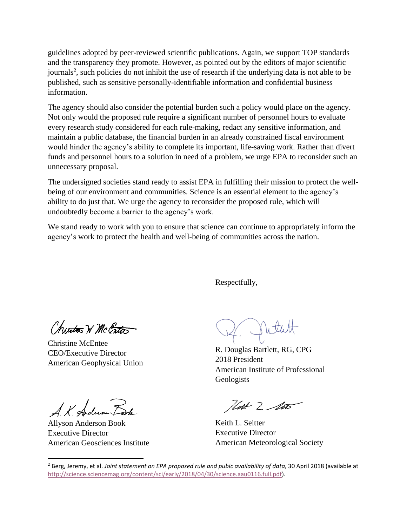guidelines adopted by peer-reviewed scientific publications. Again, we support TOP standards and the transparency they promote. However, as pointed out by the editors of major scientific journals<sup>2</sup>, such policies do not inhibit the use of research if the underlying data is not able to be published, such as sensitive personally-identifiable information and confidential business information.

The agency should also consider the potential burden such a policy would place on the agency. Not only would the proposed rule require a significant number of personnel hours to evaluate every research study considered for each rule-making, redact any sensitive information, and maintain a public database, the financial burden in an already constrained fiscal environment would hinder the agency's ability to complete its important, life-saving work. Rather than divert funds and personnel hours to a solution in need of a problem, we urge EPA to reconsider such an unnecessary proposal.

The undersigned societies stand ready to assist EPA in fulfilling their mission to protect the wellbeing of our environment and communities. Science is an essential element to the agency's ability to do just that. We urge the agency to reconsider the proposed rule, which will undoubtedly become a barrier to the agency's work.

We stand ready to work with you to ensure that science can continue to appropriately inform the agency's work to protect the health and well-being of communities across the nation.

Respectfully,

Churton W McCrtas

Christine McEntee CEO/Executive Director American Geophysical Union

4. K. Anderson

Allyson Anderson Book Executive Director American Geosciences Institute

 $\overline{\phantom{a}}$ 

Nith

R. Douglas Bartlett, RG, CPG 2018 President American Institute of Professional Geologists

Hust 2 lits

Keith L. Seitter Executive Director American Meteorological Society

<sup>2</sup> Berg, Jeremy, et al. *Joint statement on EPA proposed rule and pubic availability of data,* 30 April 2018 (available at [http://science.sciencemag.org/content/sci/early/2018/04/30/science.aau0116.full.pdf\)](http://science.sciencemag.org/content/sci/early/2018/04/30/science.aau0116.full.pdf).